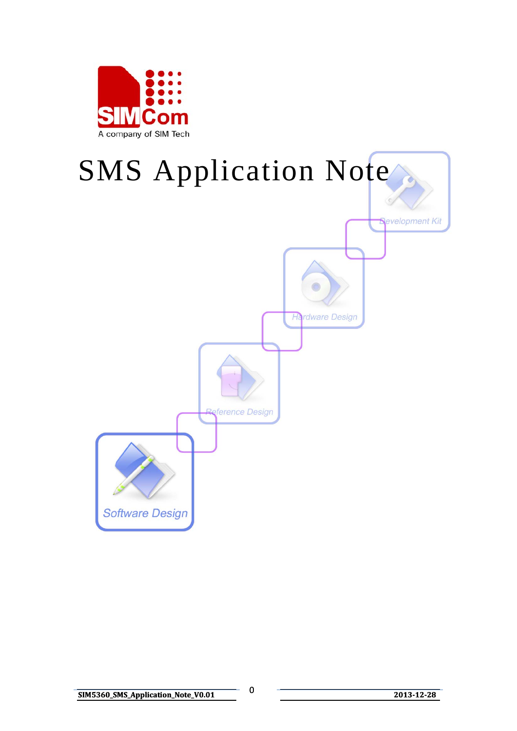

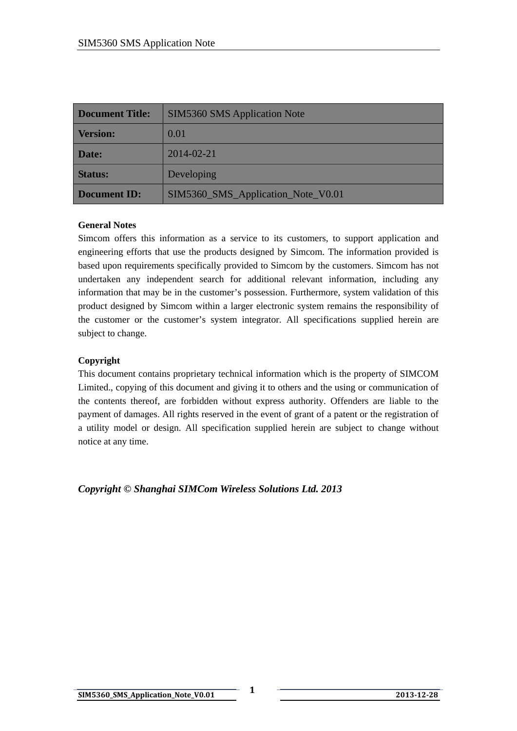| <b>Document Title:</b> | <b>SIM5360 SMS Application Note</b> |  |
|------------------------|-------------------------------------|--|
| <b>Version:</b>        | 0.01                                |  |
| Date:                  | 2014-02-21                          |  |
| <b>Status:</b>         | Developing                          |  |
| <b>Document ID:</b>    | SIM5360_SMS_Application_Note_V0.01  |  |

#### **General Notes**

Simcom offers this information as a service to its customers, to support application and engineering efforts that use the products designed by Simcom. The information provided is based upon requirements specifically provided to Simcom by the customers. Simcom has not undertaken any independent search for additional relevant information, including any information that may be in the customer's possession. Furthermore, system validation of this product designed by Simcom within a larger electronic system remains the responsibility of the customer or the customer's system integrator. All specifications supplied herein are subject to change.

### **Copyright**

This document contains proprietary technical information which is the property of SIMCOM Limited., copying of this document and giving it to others and the using or communication of the contents thereof, are forbidden without express authority. Offenders are liable to the payment of damages. All rights reserved in the event of grant of a patent or the registration of a utility model or design. All specification supplied herein are subject to change without notice at any time.

*Copyright © Shanghai SIMCom Wireless Solutions Ltd. 2013*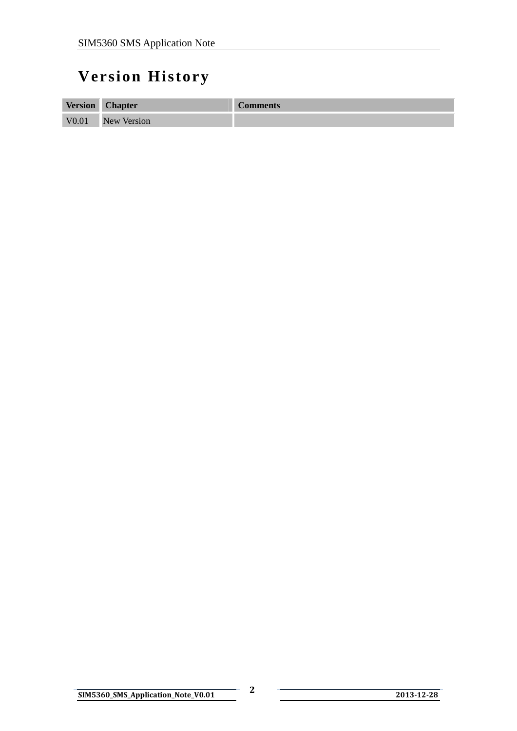## <span id="page-2-0"></span>**Version History**

| <b>Version</b>    | <b>Chapter</b>     | <b>Comments</b> |
|-------------------|--------------------|-----------------|
| V <sub>0.01</sub> | <b>New Version</b> |                 |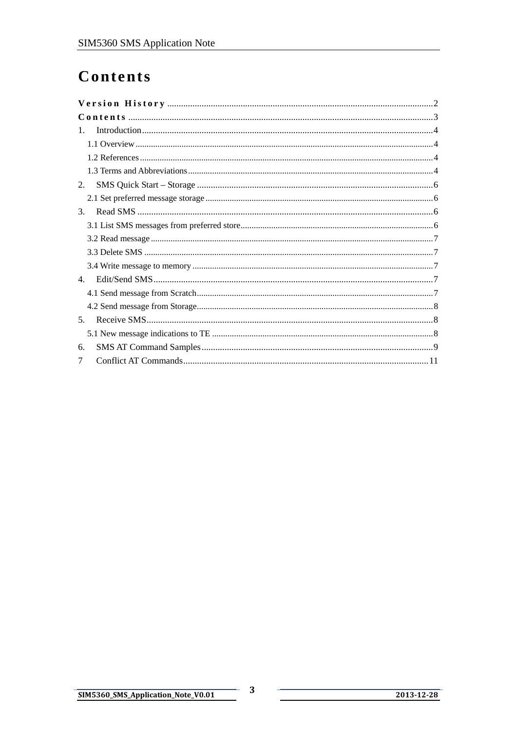## <span id="page-3-0"></span>Contents

| $1_{-}$ |
|---------|
|         |
|         |
|         |
| 2.      |
|         |
| 3.      |
|         |
|         |
|         |
|         |
| 4.      |
|         |
|         |
| 5.      |
|         |
| 6.      |
|         |

2013-12-28

 $\mathbf{3}$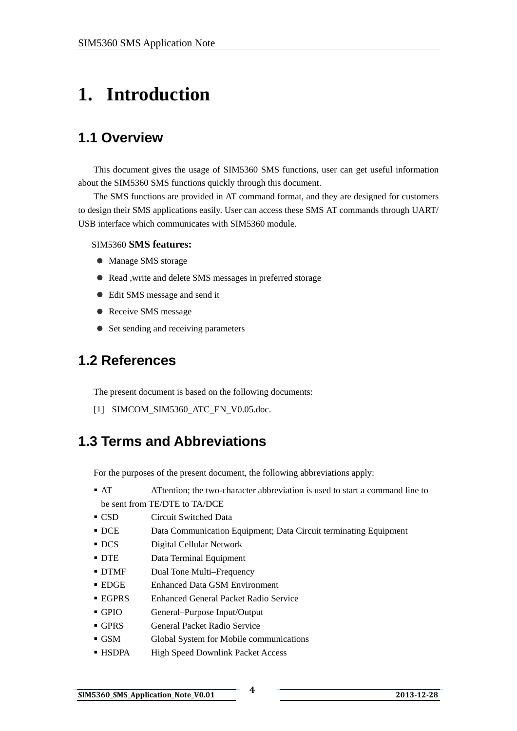# <span id="page-4-0"></span>**1. Introduction**

## **1.1 Overview**

This document gives the usage of SIM5360 SMS functions, user can get useful information about the SIM5360 SMS functions quickly through this document.

The SMS functions are provided in AT command format, and they are designed for customers to design their SMS applications easily. User can access these SMS AT commands through UART/ USB interface which communicates with SIM5360 module.

#### SIM5360 **SMS features:**

- Manage SMS storage
- Read , write and delete SMS messages in preferred storage
- Edit SMS message and send it
- Receive SMS message
- $\bullet$  Set sending and receiving parameters

## **1.2 References**

The present document is based on the following documents:

[1] SIMCOM\_SIM5360\_ATC\_EN\_V0.05.doc.

## **1.3 Terms and Abbreviations**

For the purposes of the present document, the following abbreviations apply:

- AT ATtention; the two-character abbreviation is used to start a command line to be sent from TE/DTE to TA/DCE
- CSD Circuit Switched Data
- DCE Data Communication Equipment; Data Circuit terminating Equipment
- DCS Digital Cellular Network
- DTE Data Terminal Equipment
- DTMF Dual Tone Multi–Frequency
- EDGE Enhanced Data GSM Environment
- EGPRS Enhanced General Packet Radio Service
- GPIO General–Purpose Input/Output
- GPRS General Packet Radio Service
- GSM Global System for Mobile communications
- HSDPA High Speed Downlink Packet Access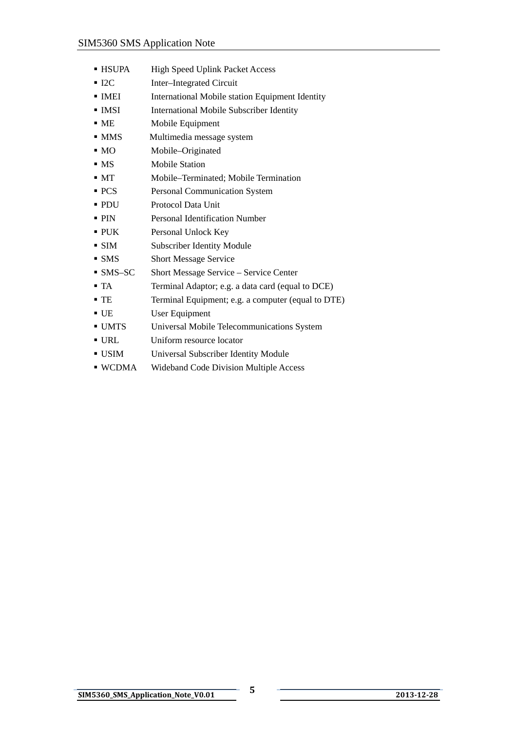- HSUPA High Speed Uplink Packet Access
- I2C Inter–Integrated Circuit
- **IMEI** International Mobile station Equipment Identity
- **IMSI** International Mobile Subscriber Identity
- ME Mobile Equipment
- MMS Multimedia message system
- MO Mobile–Originated
- MS Mobile Station
- MT Mobile–Terminated; Mobile Termination
- **PCS** Personal Communication System
- PDU Protocol Data Unit
- **PIN** Personal Identification Number
- PUK Personal Unlock Key
- SIM Subscriber Identity Module
- SMS Short Message Service
- SMS–SC Short Message Service Service Center
- TA Terminal Adaptor; e.g. a data card (equal to DCE)
- TE Terminal Equipment; e.g. a computer (equal to DTE)
- UE User Equipment
- UMTS Universal Mobile Telecommunications System
- URL Uniform resource locator
- USIM Universal Subscriber Identity Module
- WCDMA Wideband Code Division Multiple Access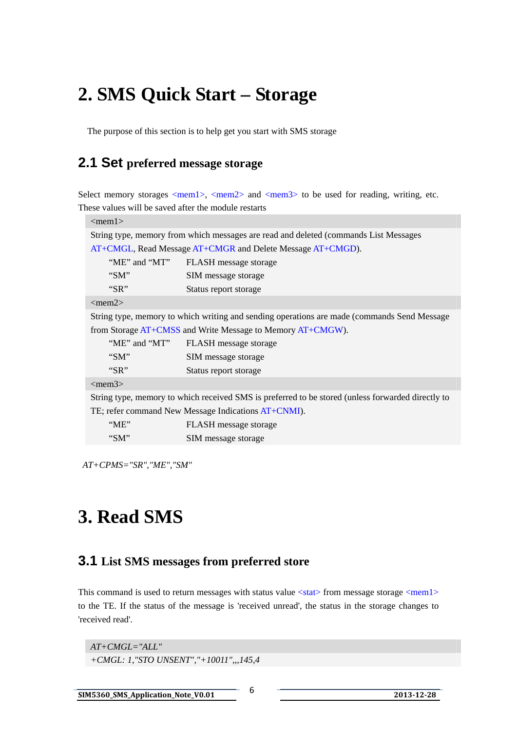# <span id="page-6-0"></span>**2. SMS Quick Start – Storage**

The purpose of this section is to help get you start with SMS storage

### **2.1 Set preferred message storage**

Select memory storages  $\langle \text{mem1}\rangle$ ,  $\langle \text{mem2}\rangle$  and  $\langle \text{mem3}\rangle$  to be used for reading, writing, etc. These values will be saved after the module restarts

| $\leq$ mem $1>$                                                                                   |                              |  |  |  |
|---------------------------------------------------------------------------------------------------|------------------------------|--|--|--|
| String type, memory from which messages are read and deleted (commands List Messages)             |                              |  |  |  |
| AT+CMGL, Read Message AT+CMGR and Delete Message AT+CMGD).                                        |                              |  |  |  |
| "ME" and "MT"                                                                                     | FLASH message storage        |  |  |  |
| " $SM$ "                                                                                          | SIM message storage          |  |  |  |
| " $SR"$                                                                                           | Status report storage        |  |  |  |
| $\langle$ mem2>                                                                                   |                              |  |  |  |
| String type, memory to which writing and sending operations are made (commands Send Message)      |                              |  |  |  |
| from Storage AT+CMSS and Write Message to Memory AT+CMGW).                                        |                              |  |  |  |
| "ME" and "MT"                                                                                     | FLASH message storage        |  |  |  |
| " $SM$ "                                                                                          | SIM message storage          |  |  |  |
| " $SR"$                                                                                           | Status report storage        |  |  |  |
| $\langle$ mem $3 \rangle$                                                                         |                              |  |  |  |
| String type, memory to which received SMS is preferred to be stored (unless forwarded directly to |                              |  |  |  |
| TE; refer command New Message Indications AT+CNMI).                                               |                              |  |  |  |
| $W^{\prime}$                                                                                      | <b>FLASH</b> message storage |  |  |  |
| " $SM$ "                                                                                          | SIM message storage          |  |  |  |

*AT+CPMS="SR","ME","SM"* 

# **3. Read SMS**

### **3.1 List SMS messages from preferred store**

This command is used to return messages with status value <stat> from message storage <mem1> to the TE. If the status of the message is 'received unread', the status in the storage changes to 'received read'.

*AT+CMGL="ALL" +CMGL: 1,"STO UNSENT","+10011",,,145,4*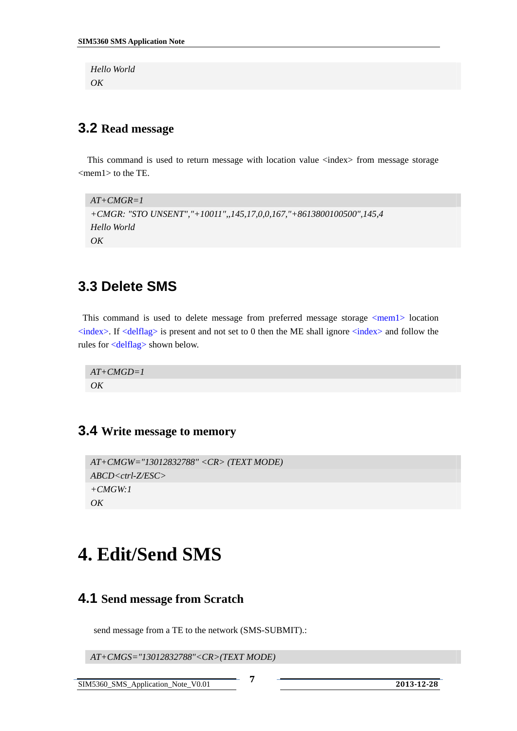<span id="page-7-0"></span>*Hello World OK*

### **3.2 Read message**

This command is used to return message with location value <index> from message storage  $<$ mem $1$  $>$  to the TE.

```
AT+CMGR=1 
+CMGR: "STO UNSENT","+10011",,145,17,0,0,167,"+8613800100500",145,4 
Hello World 
OK
```
### **3.3 Delete SMS**

This command is used to delete message from preferred message storage  $\leq$ mem1 $>$  location  $\langle$ index>. If  $\langle$ delflag> is present and not set to 0 then the ME shall ignore  $\langle$ index> and follow the rules for <delflag> shown below.

*AT+CMGD=1 OK* 

### **3.4 Write message to memory**

```
AT+CMGW="13012832788" <CR> (TEXT MODE) 
ABCD<ctrl-Z/ESC> 
+CMGW:1 
OK
```
# **4. Edit/Send SMS**

### **4.1 Send message from Scratch**

send message from a TE to the network (SMS-SUBMIT).:

*AT+CMGS="13012832788"<CR>(TEXT MODE)* 

SIM5360\_SMS\_Application\_Note\_V0.01 **7 <sup>2013</sup>12<sup>28</sup>**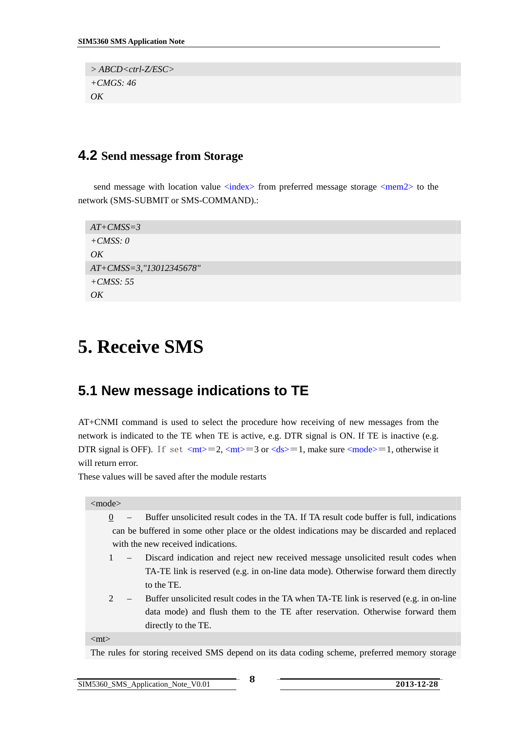<span id="page-8-0"></span>*> ABCD<ctrl-Z/ESC> +CMGS: 46 OK*

### **4.2 Send message from Storage**

send message with location value  $\langle$ index $\rangle$  from preferred message storage  $\langle$ mem2 $\rangle$  to the network (SMS-SUBMIT or SMS-COMMAND).:

```
AT+CMSS=3 
+CMSS: 0 
OKAT+CMSS=3,"13012345678" 
+CMSS: 55 
OK
```
# **5. Receive SMS**

## **5.1 New message indications to TE**

AT+CNMI command is used to select the procedure how receiving of new messages from the network is indicated to the TE when TE is active, e.g. DTR signal is ON. If TE is inactive (e.g. DTR signal is OFF). If set  $\langle mt \rangle = 2$ ,  $\langle mt \rangle = 3$  or  $\langle ds \rangle = 1$ , make sure  $\langle mode \rangle = 1$ , otherwise it will return error.

These values will be saved after the module restarts

#### <mode>

- $\overline{0}$  Buffer unsolicited result codes in the TA. If TA result code buffer is full, indications can be buffered in some other place or the oldest indications may be discarded and replaced with the new received indications.
- 1 Discard indication and reject new received message unsolicited result codes when TA-TE link is reserved (e.g. in on-line data mode). Otherwise forward them directly to the TE.
- 2 Buffer unsolicited result codes in the TA when TA-TE link is reserved (e.g. in on-line data mode) and flush them to the TE after reservation. Otherwise forward them directly to the TE.

 $<$ mt $>$ 

The rules for storing received SMS depend on its data coding scheme, preferred memory storage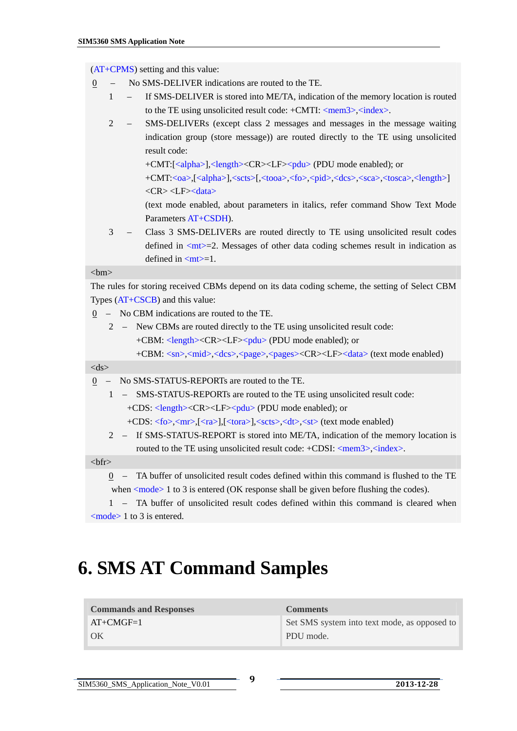<span id="page-9-0"></span>(AT+CPMS) setting and this value:

- 0 No SMS-DELIVER indications are routed to the TE.
	- 1 If SMS-DELIVER is stored into ME/TA, indication of the memory location is routed to the TE using unsolicited result code: +CMTI: <mem3>,<index>.
	- 2 SMS-DELIVERs (except class 2 messages and messages in the message waiting indication group (store message)) are routed directly to the TE using unsolicited result code:
		- +CMT:[<alpha>],<length><CR><LF><pdu> (PDU mode enabled); or +CMT:<oa>,[<alpha>],<scts>[,<tooa>,<fo>,<pid>,<dcs>,<sca>,<tosca>,<length>]  $\langle CR \rangle \langle LF \rangle \langle data \rangle$
		- (text mode enabled, about parameters in italics, refer command Show Text Mode Parameters AT+CSDH).
	- 3 Class 3 SMS-DELIVERs are routed directly to TE using unsolicited result codes defined in  $\langle$ mt $\rangle$ =2. Messages of other data coding schemes result in indication as defined in  $<sub>mt>=1</sub>$ .</sub>

#### $$h$$

The rules for storing received CBMs depend on its data coding scheme, the setting of Select CBM Types (AT+CSCB) and this value:

- 0 No CBM indications are routed to the TE.
	- 2 New CBMs are routed directly to the TE using unsolicited result code: +CBM: <length><CR><LF><pdu> (PDU mode enabled); or +CBM: <sn>,<mid>,<dcs>,<page>,<pages><CR><LF><data> (text mode enabled)

#### $<$ ds $>$

- 0 No SMS-STATUS-REPORTs are routed to the TE.
	- 1 SMS-STATUS-REPORTs are routed to the TE using unsolicited result code: +CDS: <length><CR><LF><pdu> (PDU mode enabled); or
		- +CDS: <fo>,<mr>,[<ra>],[<tora>],<scts>,<dt>,<st> (text mode enabled)
	- 2 If SMS-STATUS-REPORT is stored into ME/TA, indication of the memory location is routed to the TE using unsolicited result code: +CDSI: <mem3>, <index>.

#### $$

0 – TA buffer of unsolicited result codes defined within this command is flushed to the TE when  $\langle$  mode $\rangle$  1 to 3 is entered (OK response shall be given before flushing the codes).

1 – TA buffer of unsolicited result codes defined within this command is cleared when <mode> 1 to 3 is entered.

# **6. SMS AT Command Samples**

| <b>Commands and Responses</b> | <b>Comments</b>                              |
|-------------------------------|----------------------------------------------|
| $AT+CMGF=1$                   | Set SMS system into text mode, as opposed to |
| OK                            | PDU mode.                                    |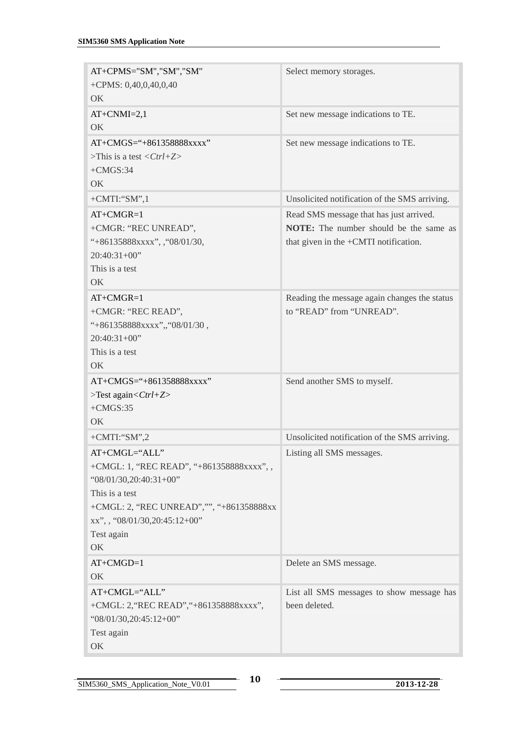| AT+CPMS="SM","SM","SM"<br>+CPMS: $0,40,0,40,0,40$<br>OK                                                                                                                                                    | Select memory storages.                                                                                                           |
|------------------------------------------------------------------------------------------------------------------------------------------------------------------------------------------------------------|-----------------------------------------------------------------------------------------------------------------------------------|
| $AT+CNMI=2,1$<br>OK                                                                                                                                                                                        | Set new message indications to TE.                                                                                                |
| $AT+CMGS =$ "+861358888xxxx"<br>>This is a test $\langle Ctrl+Z \rangle$<br>$+CMGS:34$<br>OK.                                                                                                              | Set new message indications to TE.                                                                                                |
| $+$ CMTI:"SM",1                                                                                                                                                                                            | Unsolicited notification of the SMS arriving.                                                                                     |
| $AT+CMGR=1$<br>+CMGR: "REC UNREAD",<br>"+86135888xxxx", , "08/01/30,<br>$20:40:31+00"$<br>This is a test<br>OK.                                                                                            | Read SMS message that has just arrived.<br><b>NOTE:</b> The number should be the same as<br>that given in the +CMTI notification. |
| $AT+CMGR=1$<br>+CMGR: "REC READ",<br>"+861358888xxxx",,"08/01/30,<br>$20:40:31+00"$<br>This is a test<br>OK                                                                                                | Reading the message again changes the status<br>to "READ" from "UNREAD".                                                          |
| $AT+CMGS =$ "+861358888xxxx"<br>$>\text{Test again} < \text{Ctrl} + \text{Z}$<br>$+CMGS:35$<br>OK.                                                                                                         | Send another SMS to myself.                                                                                                       |
| $+$ CMTI:"SM",2                                                                                                                                                                                            | Unsolicited notification of the SMS arriving.                                                                                     |
| AT+CMGL="ALL"<br>+CMGL: 1, "REC READ", "+861358888xxxx", ,<br>$"08/01/30,20:40:31+00"$<br>This is a test<br>+CMGL: 2, "REC UNREAD","", "+861358888xx<br>xx", , "08/01/30, 20:45:12+00"<br>Test again<br>OK | Listing all SMS messages.                                                                                                         |
| $AT+CMGD=1$<br>OK                                                                                                                                                                                          | Delete an SMS message.                                                                                                            |
| AT+CMGL="ALL"<br>+CMGL: 2, "REC READ", "+861358888xxxx",<br>" $08/01/30,20:45:12+00"$<br>Test again<br>OK                                                                                                  | List all SMS messages to show message has<br>been deleted.                                                                        |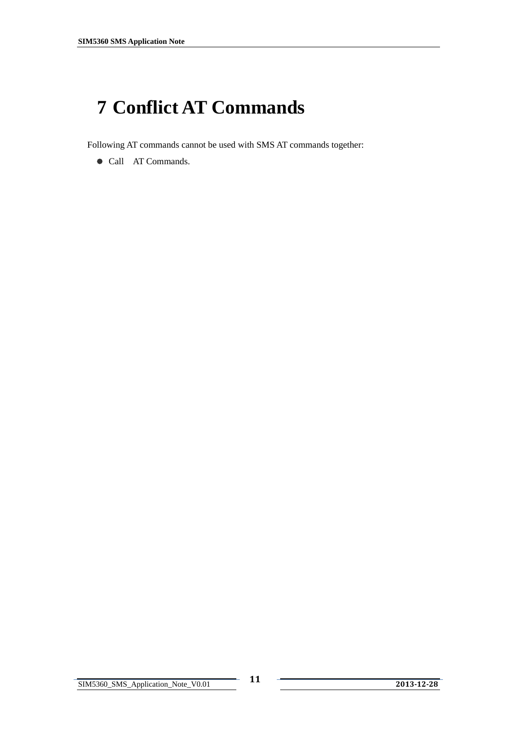# <span id="page-11-0"></span>**7 Conflict AT Commands**

Following AT commands cannot be used with SMS AT commands together:

• Call AT Commands.